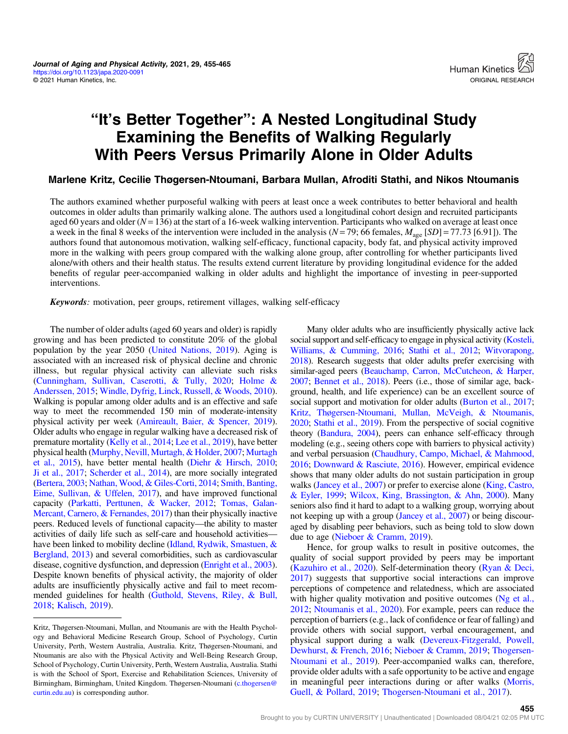# "It's Better Together": A Nested Longitudinal Study Examining the Benefits of Walking Regularly With Peers Versus Primarily Alone in Older Adults

# Marlene Kritz, Cecilie Thøgersen-Ntoumani, Barbara Mullan, Afroditi Stathi, and Nikos Ntoumanis

The authors examined whether purposeful walking with peers at least once a week contributes to better behavioral and health outcomes in older adults than primarily walking alone. The authors used a longitudinal cohort design and recruited participants aged 60 years and older ( $N = 136$ ) at the start of a 16-week walking intervention. Participants who walked on average at least once a week in the final 8 weeks of the intervention were included in the analysis ( $N = 79$ ; 66 females,  $M_{\text{age}}$  [SD] = 77.73 [6.91]). The authors found that autonomous motivation, walking self-efficacy, functional capacity, body fat, and physical activity improved more in the walking with peers group compared with the walking alone group, after controlling for whether participants lived alone/with others and their health status. The results extend current literature by providing longitudinal evidence for the added benefits of regular peer-accompanied walking in older adults and highlight the importance of investing in peer-supported interventions.

Keywords: motivation, peer groups, retirement villages, walking self-efficacy

The number of older adults (aged 60 years and older) is rapidly growing and has been predicted to constitute 20% of the global population by the year 2050 [\(United Nations, 2019\)](#page-9-0). Aging is associated with an increased risk of physical decline and chronic illness, but regular physical activity can alleviate such risks [\(Cunningham, Sullivan, Caserotti, & Tully, 2020](#page-7-0); [Holme &](#page-8-0) [Anderssen, 2015;](#page-8-0) [Windle, Dyfrig, Linck, Russell, & Woods, 2010](#page-10-0)). Walking is popular among older adults and is an effective and safe way to meet the recommended 150 min of moderate-intensity physical activity per week [\(Amireault, Baier, & Spencer, 2019](#page-7-0)). Older adults who engage in regular walking have a decreased risk of premature mortality [\(Kelly et al., 2014](#page-8-0); [Lee et al., 2019\)](#page-8-0), have better physical health ([Murphy, Nevill, Murtagh, & Holder, 2007;](#page-9-0) [Murtagh](#page-9-0) [et al., 2015](#page-9-0)), have better mental health [\(Diehr & Hirsch, 2010](#page-7-0); [Ji et al., 2017;](#page-8-0) [Scherder et al., 2014\)](#page-9-0), are more socially integrated [\(Bertera, 2003](#page-7-0); [Nathan, Wood, & Giles-Corti, 2014;](#page-9-0) [Smith, Banting,](#page-9-0) [Eime, Sullivan, & Uffelen, 2017\)](#page-9-0), and have improved functional capacity ([Parkatti, Perttunen, & Wacker, 2012](#page-9-0); [Tomas, Galan-](#page-9-0)[Mercant, Carnero, & Fernandes, 2017\)](#page-9-0) than their physically inactive peers. Reduced levels of functional capacity—the ability to master activities of daily life such as self-care and household activities— have been linked to mobility decline [\(Idland, Rydwik, Smastuen, &](#page-8-0) [Bergland, 2013\)](#page-8-0) and several comorbidities, such as cardiovascular disease, cognitive dysfunction, and depression ([Enright et al., 2003](#page-7-0)). Despite known benefits of physical activity, the majority of older adults are insufficiently physically active and fail to meet recommended guidelines for health [\(Guthold, Stevens, Riley, & Bull,](#page-7-0) [2018;](#page-7-0) [Kalisch, 2019](#page-8-0)).

Many older adults who are insufficiently physically active lack social support and self-efficacy to engage in physical activity [\(Kosteli,](#page-8-0) [Williams, & Cumming, 2016](#page-8-0); [Stathi et al., 2012](#page-9-0); [Witvorapong,](#page-10-0) [2018](#page-10-0)). Research suggests that older adults prefer exercising with similar-aged peers ([Beauchamp, Carron, McCutcheon, & Harper,](#page-7-0) [2007;](#page-7-0) [Bennet et al., 2018](#page-7-0)). Peers (i.e., those of similar age, background, health, and life experience) can be an excellent source of social support and motivation for older adults [\(Burton et al., 2017](#page-7-0); [Kritz, Thøgersen-Ntoumani, Mullan, McVeigh, & Ntoumanis,](#page-8-0) [2020;](#page-8-0) [Stathi et al., 2019](#page-9-0)). From the perspective of social cognitive theory [\(Bandura, 2004\)](#page-7-0), peers can enhance self-efficacy through modeling (e.g., seeing others cope with barriers to physical activity) and verbal persuasion [\(Chaudhury, Campo, Michael, & Mahmood,](#page-7-0) [2016;](#page-7-0) [Downward & Rasciute, 2016\)](#page-7-0). However, empirical evidence shows that many older adults do not sustain participation in group walks [\(Jancey et al., 2007\)](#page-8-0) or prefer to exercise alone [\(King, Castro,](#page-8-0) [& Eyler, 1999;](#page-8-0) [Wilcox, King, Brassington, & Ahn, 2000\)](#page-9-0). Many seniors also find it hard to adapt to a walking group, worrying about not keeping up with a group [\(Jancey et al., 2007](#page-8-0)) or being discouraged by disabling peer behaviors, such as being told to slow down due to age [\(Nieboer & Cramm, 2019](#page-9-0)).

Hence, for group walks to result in positive outcomes, the quality of social support provided by peers may be important [\(Kazuhiro et al., 2020\)](#page-8-0). Self-determination theory ([Ryan & Deci,](#page-9-0) [2017](#page-9-0)) suggests that supportive social interactions can improve perceptions of competence and relatedness, which are associated with higher quality motivation and positive outcomes ([Ng et al.,](#page-9-0) [2012](#page-9-0); [Ntoumanis et al., 2020](#page-9-0)). For example, peers can reduce the perception of barriers (e.g., lack of confidence or fear of falling) and provide others with social support, verbal encouragement, and physical support during a walk [\(Devereux-Fitzgerald, Powell,](#page-7-0) [Dewhurst, & French, 2016;](#page-7-0) [Nieboer & Cramm, 2019](#page-9-0); [Thogersen-](#page-9-0)[Ntoumani et al., 2019\)](#page-9-0). Peer-accompanied walks can, therefore, provide older adults with a safe opportunity to be active and engage in meaningful peer interactions during or after walks ([Morris,](#page-8-0) [Guell, & Pollard, 2019](#page-8-0); [Thogersen-Ntoumani et al., 2017](#page-9-0)).

Kritz, Thøgersen-Ntoumani, Mullan, and Ntoumanis are with the Health Psychology and Behavioral Medicine Research Group, School of Psychology, Curtin University, Perth, Western Australia, Australia. Kritz, Thøgersen-Ntoumani, and Ntoumanis are also with the Physical Activity and Well-Being Research Group, School of Psychology, Curtin University, Perth, Western Australia, Australia. Stathi is with the School of Sport, Exercise and Rehabilitation Sciences, University of Birmingham, Birmingham, United Kingdom. Thøgersen-Ntoumani [\(c.thogersen@](mailto:c.thogersen@curtin.edu.au) [curtin.edu.au](mailto:c.thogersen@curtin.edu.au)) is corresponding author.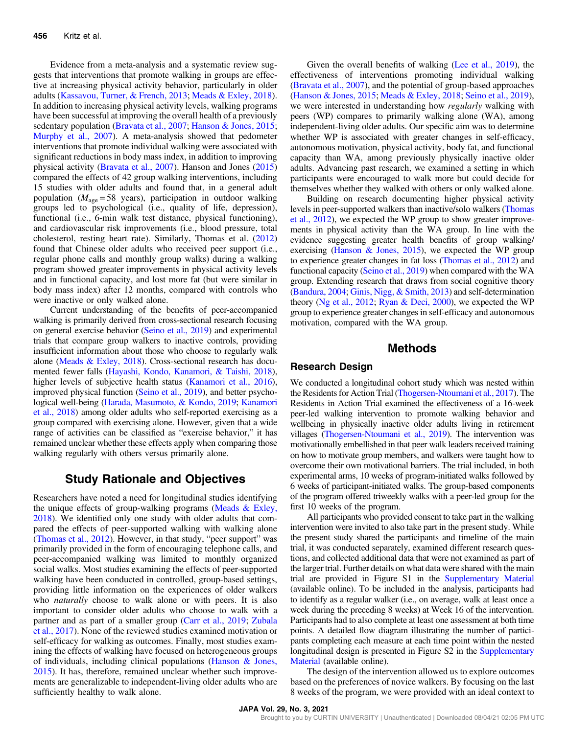Evidence from a meta-analysis and a systematic review suggests that interventions that promote walking in groups are effective at increasing physical activity behavior, particularly in older adults [\(Kassavou, Turner, & French, 2013](#page-8-0); [Meads & Exley, 2018](#page-8-0)). In addition to increasing physical activity levels, walking programs have been successful at improving the overall health of a previously sedentary population [\(Bravata et al., 2007](#page-7-0); [Hanson & Jones, 2015](#page-7-0); [Murphy et al., 2007](#page-9-0)). A meta-analysis showed that pedometer interventions that promote individual walking were associated with significant reductions in body mass index, in addition to improving physical activity [\(Bravata et al., 2007](#page-7-0)). Hanson and Jones ([2015\)](#page-7-0) compared the effects of 42 group walking interventions, including 15 studies with older adults and found that, in a general adult population ( $M_{\text{age}} = 58$  years), participation in outdoor walking groups led to psychological (i.e., quality of life, depression), functional (i.e., 6-min walk test distance, physical functioning), and cardiovascular risk improvements (i.e., blood pressure, total cholesterol, resting heart rate). Similarly, Thomas et al. ([2012\)](#page-9-0) found that Chinese older adults who received peer support (i.e., regular phone calls and monthly group walks) during a walking program showed greater improvements in physical activity levels and in functional capacity, and lost more fat (but were similar in body mass index) after 12 months, compared with controls who were inactive or only walked alone.

Current understanding of the benefits of peer-accompanied walking is primarily derived from cross-sectional research focusing on general exercise behavior [\(Seino et al., 2019](#page-9-0)) and experimental trials that compare group walkers to inactive controls, providing insufficient information about those who choose to regularly walk alone ([Meads & Exley, 2018\)](#page-8-0). Cross-sectional research has documented fewer falls [\(Hayashi, Kondo, Kanamori, & Taishi, 2018](#page-8-0)), higher levels of subjective health status ([Kanamori et al., 2016](#page-8-0)), improved physical function [\(Seino et al., 2019](#page-9-0)), and better psychological well-being [\(Harada, Masumoto, & Kondo, 2019;](#page-8-0) [Kanamori](#page-8-0) [et al., 2018](#page-8-0)) among older adults who self-reported exercising as a group compared with exercising alone. However, given that a wide range of activities can be classified as "exercise behavior," it has remained unclear whether these effects apply when comparing those walking regularly with others versus primarily alone.

# Study Rationale and Objectives

Researchers have noted a need for longitudinal studies identifying the unique effects of group-walking programs ([Meads & Exley,](#page-8-0) [2018](#page-8-0)). We identified only one study with older adults that compared the effects of peer-supported walking with walking alone [\(Thomas et al., 2012](#page-9-0)). However, in that study, "peer support" was primarily provided in the form of encouraging telephone calls, and peer-accompanied walking was limited to monthly organized social walks. Most studies examining the effects of peer-supported walking have been conducted in controlled, group-based settings, providing little information on the experiences of older walkers who *naturally* choose to walk alone or with peers. It is also important to consider older adults who choose to walk with a partner and as part of a smaller group [\(Carr et al., 2019](#page-7-0); [Zubala](#page-10-0) [et al., 2017\)](#page-10-0). None of the reviewed studies examined motivation or self-efficacy for walking as outcomes. Finally, most studies examining the effects of walking have focused on heterogeneous groups of individuals, including clinical populations ([Hanson & Jones,](#page-7-0) [2015](#page-7-0)). It has, therefore, remained unclear whether such improvements are generalizable to independent-living older adults who are sufficiently healthy to walk alone.

Given the overall benefits of walking [\(Lee et al., 2019\)](#page-8-0), the effectiveness of interventions promoting individual walking [\(Bravata et al., 2007](#page-7-0)), and the potential of group-based approaches [\(Hanson & Jones, 2015;](#page-7-0) [Meads & Exley, 2018;](#page-8-0) [Seino et al., 2019](#page-9-0)), we were interested in understanding how *regularly* walking with peers (WP) compares to primarily walking alone (WA), among independent-living older adults. Our specific aim was to determine whether WP is associated with greater changes in self-efficacy, autonomous motivation, physical activity, body fat, and functional capacity than WA, among previously physically inactive older adults. Advancing past research, we examined a setting in which participants were encouraged to walk more but could decide for themselves whether they walked with others or only walked alone.

Building on research documenting higher physical activity levels in peer-supported walkers than inactive/solo walkers [\(Thomas](#page-9-0) [et al., 2012](#page-9-0)), we expected the WP group to show greater improvements in physical activity than the WA group. In line with the evidence suggesting greater health benefits of group walking/ exercising [\(Hanson & Jones, 2015\)](#page-7-0), we expected the WP group to experience greater changes in fat loss [\(Thomas et al., 2012\)](#page-9-0) and functional capacity [\(Seino et al., 2019\)](#page-9-0) when compared with the WA group. Extending research that draws from social cognitive theory [\(Bandura, 2004](#page-7-0); [Ginis, Nigg, & Smith, 2013](#page-7-0)) and self-determination theory ([Ng et al., 2012](#page-9-0); [Ryan & Deci, 2000](#page-9-0)), we expected the WP group to experience greater changes in self-efficacy and autonomous motivation, compared with the WA group.

# Methods

#### Research Design

We conducted a longitudinal cohort study which was nested within the Residents for Action Trial [\(Thogersen-Ntoumani et al., 2017\)](#page-9-0). The Residents in Action Trial examined the effectiveness of a 16-week peer-led walking intervention to promote walking behavior and wellbeing in physically inactive older adults living in retirement villages ([Thogersen-Ntoumani et al., 2019\)](#page-9-0). The intervention was motivationally embellished in that peer walk leaders received training on how to motivate group members, and walkers were taught how to overcome their own motivational barriers. The trial included, in both experimental arms, 10 weeks of program-initiated walks followed by 6 weeks of participant-initiated walks. The group-based components of the program offered triweekly walks with a peer-led group for the first 10 weeks of the program.

All participants who provided consent to take part in the walking intervention were invited to also take part in the present study. While the present study shared the participants and timeline of the main trial, it was conducted separately, examined different research questions, and collected additional data that were not examined as part of the larger trial. Further details on what data were shared with the main trial are provided in Figure S1 in the [Supplementary Material](https://doi.org/10.1123/japa.2020-0091) (available online). To be included in the analysis, participants had to identify as a regular walker (i.e., on average, walk at least once a week during the preceding 8 weeks) at Week 16 of the intervention. Participants had to also complete at least one assessment at both time points. A detailed flow diagram illustrating the number of participants completing each measure at each time point within the nested longitudinal design is presented in Figure S2 in the [Supplementary](https://doi.org/10.1123/japa.2020-0091) [Material](https://doi.org/10.1123/japa.2020-0091) (available online).

The design of the intervention allowed us to explore outcomes based on the preferences of novice walkers. By focusing on the last 8 weeks of the program, we were provided with an ideal context to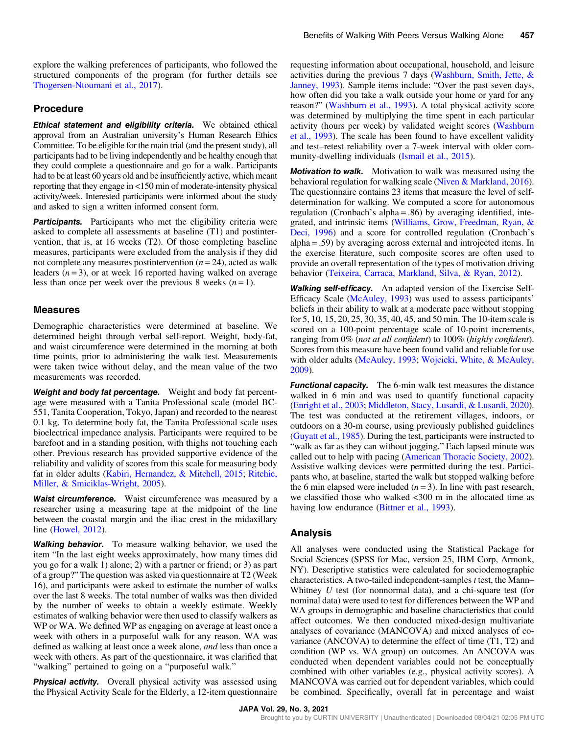explore the walking preferences of participants, who followed the structured components of the program (for further details see [Thogersen-Ntoumani et al., 2017\)](#page-9-0).

## Procedure

**Ethical statement and eligibility criteria.** We obtained ethical approval from an Australian university's Human Research Ethics Committee. To be eligible for the main trial (and the present study), all participants had to be living independently and be healthy enough that they could complete a questionnaire and go for a walk. Participants had to be at least 60 years old and be insufficiently active, which meant reporting that they engage in <150 min of moderate-intensity physical activity/week. Interested participants were informed about the study and asked to sign a written informed consent form.

**Participants.** Participants who met the eligibility criteria were asked to complete all assessments at baseline (T1) and postintervention, that is, at 16 weeks (T2). Of those completing baseline measures, participants were excluded from the analysis if they did not complete any measures postintervention  $(n = 24)$ , acted as walk leaders  $(n=3)$ , or at week 16 reported having walked on average less than once per week over the previous 8 weeks  $(n = 1)$ .

#### Measures

Demographic characteristics were determined at baseline. We determined height through verbal self-report. Weight, body-fat, and waist circumference were determined in the morning at both time points, prior to administering the walk test. Measurements were taken twice without delay, and the mean value of the two measurements was recorded.

Weight and body fat percentage. Weight and body fat percentage were measured with a Tanita Professional scale (model BC-551, Tanita Cooperation, Tokyo, Japan) and recorded to the nearest 0.1 kg. To determine body fat, the Tanita Professional scale uses bioelectrical impedance analysis. Participants were required to be barefoot and in a standing position, with thighs not touching each other. Previous research has provided supportive evidence of the reliability and validity of scores from this scale for measuring body fat in older adults [\(Kabiri, Hernandez, & Mitchell, 2015;](#page-8-0) [Ritchie,](#page-9-0) [Miller, & Smiciklas-Wright, 2005\)](#page-9-0).

Waist circumference. Waist circumference was measured by a researcher using a measuring tape at the midpoint of the line between the coastal margin and the iliac crest in the midaxillary line [\(Howel, 2012\)](#page-8-0).

Walking behavior. To measure walking behavior, we used the item "In the last eight weeks approximately, how many times did you go for a walk 1) alone; 2) with a partner or friend; or 3) as part of a group?" The question was asked via questionnaire at T2 (Week 16), and participants were asked to estimate the number of walks over the last 8 weeks. The total number of walks was then divided by the number of weeks to obtain a weekly estimate. Weekly estimates of walking behavior were then used to classify walkers as WP or WA. We defined WP as engaging on average at least once a week with others in a purposeful walk for any reason. WA was defined as walking at least once a week alone, and less than once a week with others. As part of the questionnaire, it was clarified that "walking" pertained to going on a "purposeful walk."

**Physical activity.** Overall physical activity was assessed using the Physical Activity Scale for the Elderly, a 12-item questionnaire requesting information about occupational, household, and leisure activities during the previous 7 days ([Washburn, Smith, Jette, &](#page-9-0) [Janney, 1993](#page-9-0)). Sample items include: "Over the past seven days, how often did you take a walk outside your home or yard for any reason?" [\(Washburn et al., 1993\)](#page-9-0). A total physical activity score was determined by multiplying the time spent in each particular activity (hours per week) by validated weight scores [\(Washburn](#page-9-0) [et al., 1993\)](#page-9-0). The scale has been found to have excellent validity and test–retest reliability over a 7-week interval with older com-munity-dwelling individuals [\(Ismail et al., 2015\)](#page-8-0).

**Motivation to walk.** Motivation to walk was measured using the behavioral regulation for walking scale [\(Niven & Markland, 2016](#page-9-0)). The questionnaire contains 23 items that measure the level of selfdetermination for walking. We computed a score for autonomous regulation (Cronbach's alpha = .86) by averaging identified, integrated, and intrinsic items [\(Williams, Grow, Freedman, Ryan, &](#page-9-0) [Deci, 1996\)](#page-9-0) and a score for controlled regulation (Cronbach's alpha = .59) by averaging across external and introjected items. In the exercise literature, such composite scores are often used to provide an overall representation of the types of motivation driving behavior [\(Teixeira, Carraca, Markland, Silva, & Ryan, 2012\)](#page-9-0).

Walking self-efficacy. An adapted version of the Exercise Self-Efficacy Scale [\(McAuley, 1993\)](#page-8-0) was used to assess participants' beliefs in their ability to walk at a moderate pace without stopping for 5, 10, 15, 20, 25, 30, 35, 40, 45, and 50 min. The 10-item scale is scored on a 100-point percentage scale of 10-point increments, ranging from 0% (not at all confident) to 100% (highly confident). Scores from this measure have been found valid and reliable for use with older adults [\(McAuley, 1993](#page-8-0); [Wojcicki, White, & McAuley,](#page-10-0) [2009](#page-10-0)).

**Functional capacity.** The 6-min walk test measures the distance walked in 6 min and was used to quantify functional capacity [\(Enright et al., 2003](#page-7-0); [Middleton, Stacy, Lusardi, & Lusardi, 2020](#page-8-0)). The test was conducted at the retirement villages, indoors, or outdoors on a 30-m course, using previously published guidelines [\(Guyatt et al., 1985](#page-7-0)). During the test, participants were instructed to "walk as far as they can without jogging." Each lapsed minute was called out to help with pacing [\(American Thoracic Society, 2002](#page-7-0)). Assistive walking devices were permitted during the test. Participants who, at baseline, started the walk but stopped walking before the 6 min elapsed were included  $(n=3)$ . In line with past research, we classified those who walked <300 m in the allocated time as having low endurance ([Bittner et al., 1993](#page-7-0)).

## Analysis

All analyses were conducted using the Statistical Package for Social Sciences (SPSS for Mac, version 25, IBM Corp, Armonk, NY). Descriptive statistics were calculated for sociodemographic characteristics. A two-tailed independent-samples  $t$  test, the Mann– Whitney  $U$  test (for nonnormal data), and a chi-square test (for nominal data) were used to test for differences between the WP and WA groups in demographic and baseline characteristics that could affect outcomes. We then conducted mixed-design multivariate analyses of covariance (MANCOVA) and mixed analyses of covariance (ANCOVA) to determine the effect of time (T1, T2) and condition (WP vs. WA group) on outcomes. An ANCOVA was conducted when dependent variables could not be conceptually combined with other variables (e.g., physical activity scores). A MANCOVA was carried out for dependent variables, which could be combined. Specifically, overall fat in percentage and waist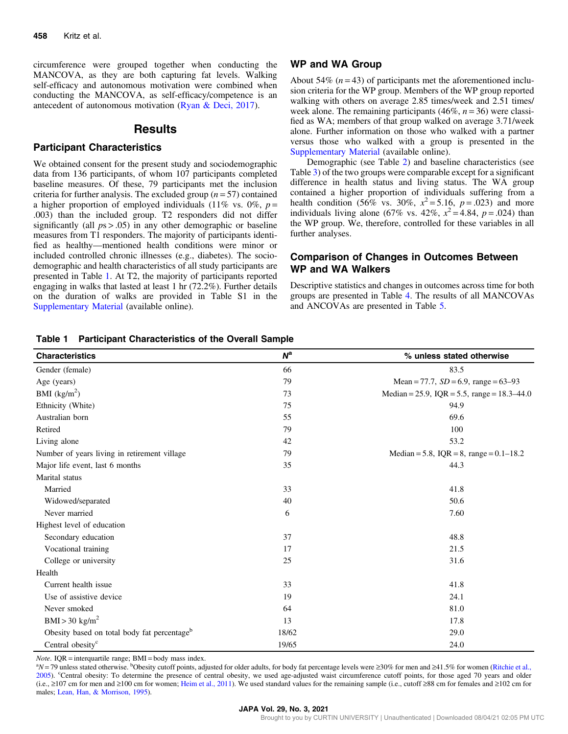circumference were grouped together when conducting the MANCOVA, as they are both capturing fat levels. Walking self-efficacy and autonomous motivation were combined when conducting the MANCOVA, as self-efficacy/competence is an antecedent of autonomous motivation ([Ryan & Deci, 2017\)](#page-9-0).

## Results

## Participant Characteristics

We obtained consent for the present study and sociodemographic data from 136 participants, of whom 107 participants completed baseline measures. Of these, 79 participants met the inclusion criteria for further analysis. The excluded group  $(n = 57)$  contained a higher proportion of employed individuals (11% vs. 0%,  $p =$ .003) than the included group. T2 responders did not differ significantly (all  $ps > .05$ ) in any other demographic or baseline measures from T1 responders. The majority of participants identified as healthy—mentioned health conditions were minor or included controlled chronic illnesses (e.g., diabetes). The sociodemographic and health characteristics of all study participants are presented in Table 1. At T2, the majority of participants reported engaging in walks that lasted at least 1 hr (72.2%). Further details on the duration of walks are provided in Table S1 in the [Supplementary Material](https://doi.org/10.1123/japa.2020-0091) (available online).

#### WP and WA Group

About 54% ( $n = 43$ ) of participants met the aforementioned inclusion criteria for the WP group. Members of the WP group reported walking with others on average 2.85 times/week and 2.51 times/ week alone. The remaining participants  $(46\%, n=36)$  were classified as WA; members of that group walked on average 3.71/week alone. Further information on those who walked with a partner versus those who walked with a group is presented in the [Supplementary Material](https://doi.org/10.1123/japa.2020-0091) (available online).

Demographic (see Table [2](#page-4-0)) and baseline characteristics (see Table [3](#page-4-0)) of the two groups were comparable except for a significant difference in health status and living status. The WA group contained a higher proportion of individuals suffering from a health condition (56% vs. 30%,  $x^2 = 5.16$ ,  $p = .023$ ) and more individuals living alone (67% vs. 42%,  $x^2 = 4.84$ ,  $p = .024$ ) than the WP group. We, therefore, controlled for these variables in all further analyses.

## Comparison of Changes in Outcomes Between WP and WA Walkers

Descriptive statistics and changes in outcomes across time for both groups are presented in Table [4](#page-5-0). The results of all MANCOVAs and ANCOVAs are presented in Table [5.](#page-5-0)

| <b>Characteristics</b>                                  | $N^{\rm a}$ | % unless stated otherwise                     |
|---------------------------------------------------------|-------------|-----------------------------------------------|
| Gender (female)                                         | 66          | 83.5                                          |
| Age (years)                                             | 79          | Mean = 77.7, $SD = 6.9$ , range = 63-93       |
| BMI $(kg/m2)$                                           | 73          | Median = 25.9, IQR = 5.5, range = $18.3-44.0$ |
| Ethnicity (White)                                       | 75          | 94.9                                          |
| Australian born                                         | 55          | 69.6                                          |
| Retired                                                 | 79          | 100                                           |
| Living alone                                            | 42          | 53.2                                          |
| Number of years living in retirement village            | 79          | Median = 5.8, $IQR = 8$ , range = 0.1–18.2    |
| Major life event, last 6 months                         | 35          | 44.3                                          |
| Marital status                                          |             |                                               |
| Married                                                 | 33          | 41.8                                          |
| Widowed/separated                                       | 40          | 50.6                                          |
| Never married                                           | 6           | 7.60                                          |
| Highest level of education                              |             |                                               |
| Secondary education                                     | 37          | 48.8                                          |
| Vocational training                                     | 17          | 21.5                                          |
| College or university                                   | 25          | 31.6                                          |
| Health                                                  |             |                                               |
| Current health issue                                    | 33          | 41.8                                          |
| Use of assistive device                                 | 19          | 24.1                                          |
| Never smoked                                            | 64          | 81.0                                          |
| $BMI > 30$ kg/m <sup>2</sup>                            | 13          | 17.8                                          |
| Obesity based on total body fat percentage <sup>b</sup> | 18/62       | 29.0                                          |
| Central obesity <sup>c</sup>                            | 19/65       | 24.0                                          |

Table 1 Participant Characteristics of the Overall Sample

*Note*.  $IQR =$  interquartile range;  $BMI =$  body mass index.

N = 79 unless stated otherwise. <sup>b</sup>Obesity cutoff points, adjusted for older adults, for body fat percentage levels were ≥30% for men and ≥41.5% for women [\(Ritchie et al.,](#page-9-0) [2005\)](#page-9-0). "Central obesity: To determine the presence of central obesity, we used age-adjusted waist circumference cutoff points, for those aged 70 years and older (i.e., ≥107 cm for men and ≥100 cm for women; [Heim et al., 2011](#page-8-0)). We used standard values for the remaining sample (i.e., cutoff ≥88 cm for females and ≥102 cm for males; [Lean, Han, & Morrison, 1995](#page-8-0)).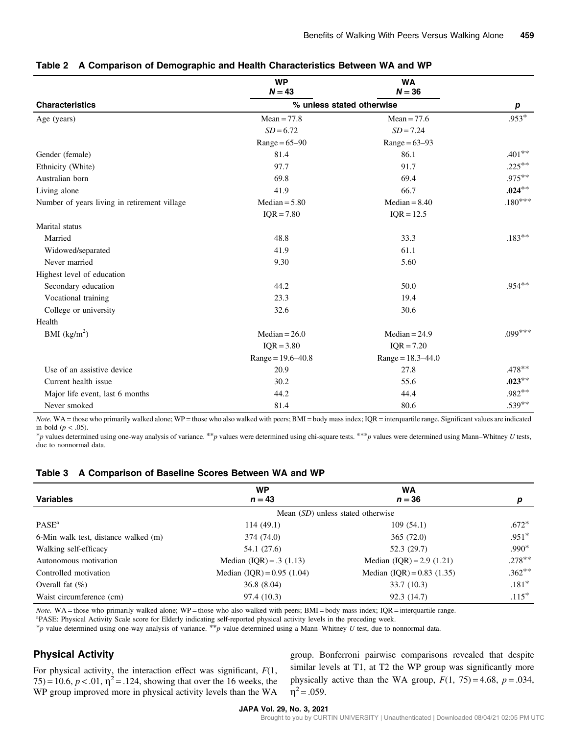|                                              | <b>WP</b><br>$N = 43$ | <b>WA</b><br>$N = 36$     |              |
|----------------------------------------------|-----------------------|---------------------------|--------------|
| <b>Characteristics</b>                       |                       | % unless stated otherwise | р            |
| Age (years)                                  | $Mean = 77.8$         | $Mean = 77.6$             | $.953*$      |
|                                              | $SD = 6.72$           | $SD = 7.24$               |              |
|                                              | $Range = 65-90$       | $Range = 63-93$           |              |
| Gender (female)                              | 81.4                  | 86.1                      | $.401**$     |
| Ethnicity (White)                            | 97.7                  | 91.7                      | $.225***$    |
| Australian born                              | 69.8                  | 69.4                      | $.975***$    |
| Living alone                                 | 41.9                  | 66.7                      | $.024***$    |
| Number of years living in retirement village | $Median = 5.80$       | $Median = 8.40$           | $.180^{***}$ |
|                                              | $IQR = 7.80$          | $IQR = 12.5$              |              |
| Marital status                               |                       |                           |              |
| Married                                      | 48.8                  | 33.3                      | $.183**$     |
| Widowed/separated                            | 41.9                  | 61.1                      |              |
| Never married                                | 9.30                  | 5.60                      |              |
| Highest level of education                   |                       |                           |              |
| Secondary education                          | 44.2                  | 50.0                      | $.954**$     |
| Vocational training                          | 23.3                  | 19.4                      |              |
| College or university                        | 32.6                  | 30.6                      |              |
| Health                                       |                       |                           |              |
| BMI $(kg/m2)$                                | Median = $26.0$       | $Median = 24.9$           | $.099***$    |
|                                              | $IQR = 3.80$          | $IQR = 7.20$              |              |
|                                              | $Range = 19.6 - 40.8$ | $Range = 18.3 - 44.0$     |              |
| Use of an assistive device                   | 20.9                  | 27.8                      | $.478**$     |
| Current health issue                         | 30.2                  | 55.6                      | $.023***$    |
| Major life event, last 6 months              | 44.2                  | 44.4                      | .982**       |
| Never smoked                                 | 81.4                  | 80.6                      | $.539**$     |

#### <span id="page-4-0"></span>Table 2 A Comparison of Demographic and Health Characteristics Between WA and WP

Note. WA = those who primarily walked alone; WP = those who also walked with peers; BMI = body mass index; IQR = interquartile range. Significant values are indicated in bold  $(p < .05)$ .

\*p values determined using one-way analysis of variance. \*\*p values were determined using chi-square tests. \*\*\*p values were determined using Mann–Whitney U tests, due to nonnormal data.

| Table 3 A Comparison of Baseline Scores Between WA and WP |  |
|-----------------------------------------------------------|--|
|-----------------------------------------------------------|--|

|                                      | <b>WP</b>                                | <b>WA</b>                      |          |  |
|--------------------------------------|------------------------------------------|--------------------------------|----------|--|
| <b>Variables</b>                     | $n = 43$                                 | $n = 36$                       | р        |  |
|                                      | Mean <i>(SD)</i> unless stated otherwise |                                |          |  |
| $PASE^a$                             | 114(49.1)                                | 109(54.1)                      | $.672*$  |  |
| 6-Min walk test, distance walked (m) | 374 (74.0)                               | 365 (72.0)                     | $.951*$  |  |
| Walking self-efficacy                | 54.1 (27.6)                              | 52.3(29.7)                     | $.990*$  |  |
| Autonomous motivation                | Median $(IQR) = .3 (1.13)$               | Median $(IQR) = 2.9 (1.21)$    | $.278**$ |  |
| Controlled motivation                | Median $(IQR) = 0.95$ $(1.04)$           | Median $(IQR) = 0.83$ $(1.35)$ | $.362**$ |  |
| Overall fat $(\%)$                   | 36.8(8.04)                               | 33.7(10.3)                     | $.181*$  |  |
| Waist circumference (cm)             | 97.4 (10.3)                              | 92.3 (14.7)                    | $.115*$  |  |

Note. WA = those who primarily walked alone; WP = those who also walked with peers; BMI = body mass index; IQR = interquartile range.

<sup>a</sup>PASE: Physical Activity Scale score for Elderly indicating self-reported physical activity levels in the preceding week.

 $*_{p}$  value determined using one-way analysis of variance.  $*_{p}$  value determined using a Mann–Whitney U test, due to nonnormal data.

## Physical Activity

For physical activity, the interaction effect was significant,  $F(1, 1)$  $75) = 10.6, p < .01, \eta^2 = .124$ , showing that over the 16 weeks, the WP group improved more in physical activity levels than the WA group. Bonferroni pairwise comparisons revealed that despite similar levels at T1, at T2 the WP group was significantly more physically active than the WA group,  $F(1, 75) = 4.68$ ,  $p = .034$ ,  $\eta^2 = .059$ .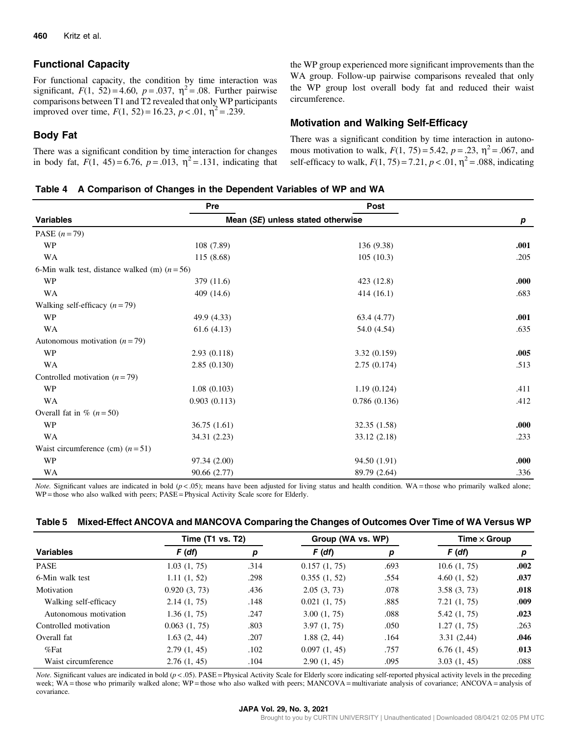# <span id="page-5-0"></span>Functional Capacity

For functional capacity, the condition by time interaction was significant,  $F(1, 52) = 4.60$ ,  $p = .037$ ,  $\eta^2 = .08$ . Further pairwise comparisons between T1 and T2 revealed that only WP participants improved over time,  $F(1, 52) = 16.23$ ,  $p < .01$ ,  $\eta^2 = .239$ .

the WP group experienced more significant improvements than the WA group. Follow-up pairwise comparisons revealed that only the WP group lost overall body fat and reduced their waist circumference.

## Motivation and Walking Self-Efficacy

# Body Fat

There was a significant condition by time interaction for changes in body fat,  $F(1, 45) = 6.76$ ,  $p = .013$ ,  $\eta^2 = .131$ , indicating that There was a significant condition by time interaction in autonomous motivation to walk,  $F(1, 75) = 5.42$ ,  $p = .23$ ,  $\eta^2 = .067$ , and self-efficacy to walk,  $F(1, 75) = 7.21$ ,  $p < .01$ ,  $\eta^2 = .088$ , indicating

#### Table 4 A Comparison of Changes in the Dependent Variables of WP and WA

|                                                 | Pre          | Post                              |      |
|-------------------------------------------------|--------------|-----------------------------------|------|
| <b>Variables</b>                                |              | Mean (SE) unless stated otherwise |      |
| PASE $(n=79)$                                   |              |                                   |      |
| <b>WP</b>                                       | 108 (7.89)   | 136 (9.38)                        | .001 |
| WA                                              | 115 (8.68)   | 105(10.3)                         | .205 |
| 6-Min walk test, distance walked (m) $(n = 56)$ |              |                                   |      |
| <b>WP</b>                                       | 379 (11.6)   | 423 (12.8)                        | .000 |
| WA                                              | 409 (14.6)   | 414 (16.1)                        | .683 |
| Walking self-efficacy $(n=79)$                  |              |                                   |      |
| WP                                              | 49.9 (4.33)  | 63.4 (4.77)                       | .001 |
| WA                                              | 61.6(4.13)   | 54.0 (4.54)                       | .635 |
| Autonomous motivation $(n=79)$                  |              |                                   |      |
| <b>WP</b>                                       | 2.93(0.118)  | 3.32(0.159)                       | .005 |
| WA                                              | 2.85(0.130)  | 2.75(0.174)                       | .513 |
| Controlled motivation $(n=79)$                  |              |                                   |      |
| <b>WP</b>                                       | 1.08(0.103)  | 1.19(0.124)                       | .411 |
| WA                                              | 0.903(0.113) | 0.786(0.136)                      | .412 |
| Overall fat in $\%$ ( <i>n</i> = 50)            |              |                                   |      |
| <b>WP</b>                                       | 36.75(1.61)  | 32.35 (1.58)                      | .000 |
| WA                                              | 34.31 (2.23) | 33.12 (2.18)                      | .233 |
| Waist circumference (cm) $(n=51)$               |              |                                   |      |
| <b>WP</b>                                       | 97.34 (2.00) | 94.50 (1.91)                      | .000 |
| WA                                              | 90.66 (2.77) | 89.79 (2.64)                      | .336 |

*Note.* Significant values are indicated in bold  $(p < .05)$ ; means have been adjusted for living status and health condition. WA = those who primarily walked alone; WP = those who also walked with peers; PASE = Physical Activity Scale score for Elderly.

| Table 5 Mixed-Effect ANCOVA and MANCOVA Comparing the Changes of Outcomes Over Time of WA Versus WP |  |  |
|-----------------------------------------------------------------------------------------------------|--|--|
|                                                                                                     |  |  |

|                       | Time (T1 vs. T2) |      | Group (WA vs. WP) |      | Time $\times$ Group |      |
|-----------------------|------------------|------|-------------------|------|---------------------|------|
| <b>Variables</b>      | F (df)           | р    | F(df)             | р    | F(df)               | p    |
| <b>PASE</b>           | 1.03(1, 75)      | .314 | 0.157(1, 75)      | .693 | 10.6(1, 75)         | .002 |
| 6-Min walk test       | 1.11(1, 52)      | .298 | 0.355(1, 52)      | .554 | 4.60(1, 52)         | .037 |
| Motivation            | 0.920(3, 73)     | .436 | 2.05(3, 73)       | .078 | 3.58(3, 73)         | .018 |
| Walking self-efficacy | 2.14(1, 75)      | .148 | 0.021(1, 75)      | .885 | 7.21(1, 75)         | .009 |
| Autonomous motivation | 1.36(1, 75)      | .247 | 3.00(1, 75)       | .088 | 5.42 (1, 75)        | .023 |
| Controlled motivation | 0.063(1, 75)     | .803 | 3.97(1, 75)       | .050 | 1.27(1, 75)         | .263 |
| Overall fat           | 1.63(2, 44)      | .207 | 1.88(2, 44)       | .164 | 3.31(2,44)          | .046 |
| $%$ Fat               | 2.79(1, 45)      | .102 | 0.097(1, 45)      | .757 | 6.76(1, 45)         | .013 |
| Waist circumference   | 2.76(1, 45)      | .104 | 2.90(1, 45)       | .095 | 3.03(1, 45)         | .088 |

*Note.* Significant values are indicated in bold  $(p < .05)$ . PASE = Physical Activity Scale for Elderly score indicating self-reported physical activity levels in the preceding week; WA = those who primarily walked alone; WP = those who also walked with peers; MANCOVA = multivariate analysis of covariance; ANCOVA = analysis of covariance.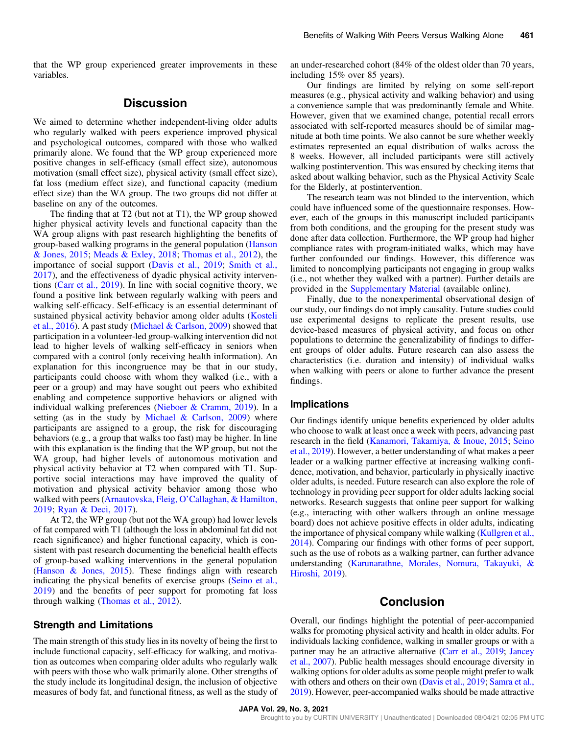that the WP group experienced greater improvements in these variables.

# **Discussion**

We aimed to determine whether independent-living older adults who regularly walked with peers experience improved physical and psychological outcomes, compared with those who walked primarily alone. We found that the WP group experienced more positive changes in self-efficacy (small effect size), autonomous motivation (small effect size), physical activity (small effect size), fat loss (medium effect size), and functional capacity (medium effect size) than the WA group. The two groups did not differ at baseline on any of the outcomes.

The finding that at T2 (but not at T1), the WP group showed higher physical activity levels and functional capacity than the WA group aligns with past research highlighting the benefits of group-based walking programs in the general population [\(Hanson](#page-7-0) [& Jones, 2015](#page-7-0); [Meads & Exley, 2018;](#page-8-0) [Thomas et al., 2012\)](#page-9-0), the importance of social support ([Davis et al., 2019;](#page-7-0) [Smith et al.,](#page-9-0) [2017](#page-9-0)), and the effectiveness of dyadic physical activity interventions ([Carr et al., 2019](#page-7-0)). In line with social cognitive theory, we found a positive link between regularly walking with peers and walking self-efficacy. Self-efficacy is an essential determinant of sustained physical activity behavior among older adults [\(Kosteli](#page-8-0) [et al., 2016](#page-8-0)). A past study ([Michael & Carlson, 2009](#page-8-0)) showed that participation in a volunteer-led group-walking intervention did not lead to higher levels of walking self-efficacy in seniors when compared with a control (only receiving health information). An explanation for this incongruence may be that in our study, participants could choose with whom they walked (i.e., with a peer or a group) and may have sought out peers who exhibited enabling and competence supportive behaviors or aligned with individual walking preferences [\(Nieboer & Cramm, 2019](#page-9-0)). In a setting (as in the study by Michael  $\&$  Carlson, 2009) where participants are assigned to a group, the risk for discouraging behaviors (e.g., a group that walks too fast) may be higher. In line with this explanation is the finding that the WP group, but not the WA group, had higher levels of autonomous motivation and physical activity behavior at T2 when compared with T1. Supportive social interactions may have improved the quality of motivation and physical activity behavior among those who walked with peers (Arnautovska, Fleig, O'[Callaghan, & Hamilton,](#page-7-0) [2019](#page-7-0); [Ryan & Deci, 2017\)](#page-9-0).

At T2, the WP group (but not the WA group) had lower levels of fat compared with T1 (although the loss in abdominal fat did not reach significance) and higher functional capacity, which is consistent with past research documenting the beneficial health effects of group-based walking interventions in the general population [\(Hanson & Jones, 2015\)](#page-7-0). These findings align with research indicating the physical benefits of exercise groups ([Seino et al.,](#page-9-0) [2019](#page-9-0)) and the benefits of peer support for promoting fat loss through walking ([Thomas et al., 2012\)](#page-9-0).

#### Strength and Limitations

The main strength of this study lies in its novelty of being the first to include functional capacity, self-efficacy for walking, and motivation as outcomes when comparing older adults who regularly walk with peers with those who walk primarily alone. Other strengths of the study include its longitudinal design, the inclusion of objective measures of body fat, and functional fitness, as well as the study of an under-researched cohort (84% of the oldest older than 70 years, including 15% over 85 years).

Our findings are limited by relying on some self-report measures (e.g., physical activity and walking behavior) and using a convenience sample that was predominantly female and White. However, given that we examined change, potential recall errors associated with self-reported measures should be of similar magnitude at both time points. We also cannot be sure whether weekly estimates represented an equal distribution of walks across the 8 weeks. However, all included participants were still actively walking postintervention. This was ensured by checking items that asked about walking behavior, such as the Physical Activity Scale for the Elderly, at postintervention.

The research team was not blinded to the intervention, which could have influenced some of the questionnaire responses. However, each of the groups in this manuscript included participants from both conditions, and the grouping for the present study was done after data collection. Furthermore, the WP group had higher compliance rates with program-initiated walks, which may have further confounded our findings. However, this difference was limited to noncomplying participants not engaging in group walks (i.e., not whether they walked with a partner). Further details are provided in the [Supplementary Material](https://doi.org/10.1123/japa.2020-0091) (available online).

Finally, due to the nonexperimental observational design of our study, our findings do not imply causality. Future studies could use experimental designs to replicate the present results, use device-based measures of physical activity, and focus on other populations to determine the generalizability of findings to different groups of older adults. Future research can also assess the characteristics (i.e. duration and intensity) of individual walks when walking with peers or alone to further advance the present findings.

#### Implications

Our findings identify unique benefits experienced by older adults who choose to walk at least once a week with peers, advancing past research in the field ([Kanamori, Takamiya, & Inoue, 2015;](#page-8-0) [Seino](#page-9-0) [et al., 2019](#page-9-0)). However, a better understanding of what makes a peer leader or a walking partner effective at increasing walking confidence, motivation, and behavior, particularly in physically inactive older adults, is needed. Future research can also explore the role of technology in providing peer support for older adults lacking social networks. Research suggests that online peer support for walking (e.g., interacting with other walkers through an online message board) does not achieve positive effects in older adults, indicating the importance of physical company while walking ([Kullgren et al.,](#page-8-0) [2014](#page-8-0)). Comparing our findings with other forms of peer support, such as the use of robots as a walking partner, can further advance understanding [\(Karunarathne, Morales, Nomura, Takayuki, &](#page-8-0) [Hiroshi, 2019\)](#page-8-0).

# Conclusion

Overall, our findings highlight the potential of peer-accompanied walks for promoting physical activity and health in older adults. For individuals lacking confidence, walking in smaller groups or with a partner may be an attractive alternative ([Carr et al., 2019](#page-7-0); [Jancey](#page-8-0) [et al., 2007](#page-8-0)). Public health messages should encourage diversity in walking options for older adults as some people might prefer to walk with others and others on their own [\(Davis et al., 2019;](#page-7-0) [Samra et al.,](#page-9-0) [2019\)](#page-9-0). However, peer-accompanied walks should be made attractive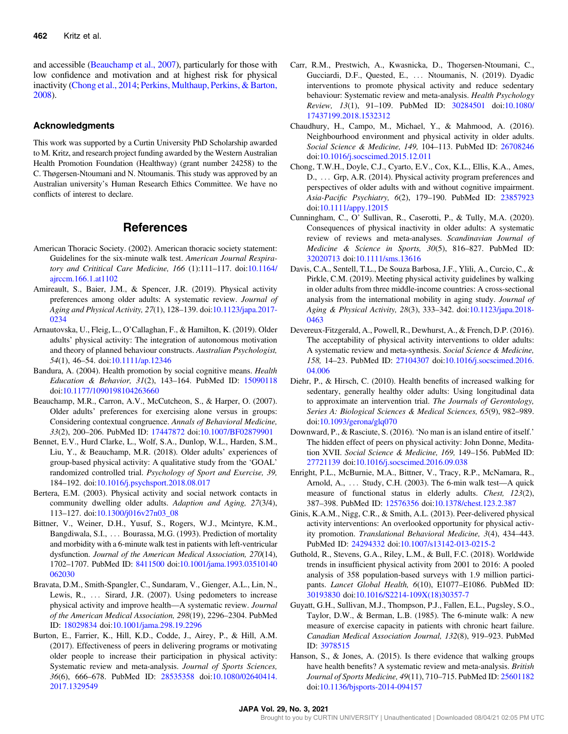<span id="page-7-0"></span>and accessible (Beauchamp et al., 2007), particularly for those with low confidence and motivation and at highest risk for physical inactivity (Chong et al., 2014; [Perkins, Multhaup, Perkins, & Barton,](#page-9-0) [2008\)](#page-9-0).

#### Acknowledgments

This work was supported by a Curtin University PhD Scholarship awarded to M. Kritz, and research project funding awarded by the Western Australian Health Promotion Foundation (Healthway) (grant number 24258) to the C. Thøgersen-Ntoumani and N. Ntoumanis. This study was approved by an Australian university's Human Research Ethics Committee. We have no conflicts of interest to declare.

# **References**

- American Thoracic Society. (2002). American thoracic society statement: Guidelines for the six-minute walk test. American Journal Respiratory and Crititical Care Medicine, 166 (1):111–117. doi[:10.1164/](https://doi.org/10.1164/ajrccm.166.1.at1102) [ajrccm.166.1.at1102](https://doi.org/10.1164/ajrccm.166.1.at1102)
- Amireault, S., Baier, J.M., & Spencer, J.R. (2019). Physical activity preferences among older adults: A systematic review. Journal of Aging and Physical Activity, 27(1), 128–139. doi[:10.1123/japa.2017-](https://doi.org/10.1123/japa.2017-0234) [0234](https://doi.org/10.1123/japa.2017-0234)
- Arnautovska, U., Fleig, L., O'Callaghan, F., & Hamilton, K. (2019). Older adults' physical activity: The integration of autonomous motivation and theory of planned behaviour constructs. Australian Psychologist, 54(1), 46–54. doi:[10.1111/ap.12346](https://doi.org/10.1111/ap.12346)
- Bandura, A. (2004). Health promotion by social cognitive means. Health Education & Behavior, 31(2), 143–164. PubMed ID: [15090118](http://www.ncbi.nlm.nih.gov/pubmed/15090118?dopt=Abstract) doi:[10.1177/1090198104263660](https://doi.org/10.1177/1090198104263660)
- Beauchamp, M.R., Carron, A.V., McCutcheon, S., & Harper, O. (2007). Older adults' preferences for exercising alone versus in groups: Considering contextual congruence. Annals of Behavioral Medicine, 33(2), 200–206. PubMed ID: [17447872](http://www.ncbi.nlm.nih.gov/pubmed/17447872?dopt=Abstract) doi[:10.1007/BF02879901](https://doi.org/10.1007/BF02879901)
- Bennet, E.V., Hurd Clarke, L., Wolf, S.A., Dunlop, W.L., Harden, S.M., Liu, Y., & Beauchamp, M.R. (2018). Older adults' experiences of group-based physical activity: A qualitative study from the 'GOAL' randomized controlled trial. Psychology of Sport and Exercise, 39, 184–192. doi[:10.1016/j.psychsport.2018.08.017](https://doi.org/10.1016/j.psychsport.2018.08.017)
- Bertera, E.M. (2003). Physical activity and social network contacts in community dwelling older adults. Adaption and Aging, 27(3/4), 113–127. doi[:10.1300/j016v27n03\\_08](https://doi.org/10.1300/j016v27n03_08)
- Bittner, V., Weiner, D.H., Yusuf, S., Rogers, W.J., Mcintyre, K.M., Bangdiwala, S.I., ... Bourassa, M.G. (1993). Prediction of mortality and morbidity with a 6-minute walk test in patients with left-ventricular dysfunction. Journal of the American Medical Association, 270(14), 1702–1707. PubMed ID: [8411500](http://www.ncbi.nlm.nih.gov/pubmed/8411500?dopt=Abstract) doi[:10.1001/jama.1993.03510140](https://doi.org/10.1001/jama.1993.03510140062030) [062030](https://doi.org/10.1001/jama.1993.03510140062030)
- Bravata, D.M., Smith-Spangler, C., Sundaram, V., Gienger, A.L., Lin, N., Lewis, R., ... Sirard, J.R. (2007). Using pedometers to increase physical activity and improve health—A systematic review. Journal of the American Medical Association, 298(19), 2296–2304. PubMed ID: [18029834](http://www.ncbi.nlm.nih.gov/pubmed/18029834?dopt=Abstract) doi[:10.1001/jama.298.19.2296](https://doi.org/10.1001/jama.298.19.2296)
- Burton, E., Farrier, K., Hill, K.D., Codde, J., Airey, P., & Hill, A.M. (2017). Effectiveness of peers in delivering programs or motivating older people to increase their participation in physical activity: Systematic review and meta-analysis. Journal of Sports Sciences, 36(6), 666–678. PubMed ID: [28535358](http://www.ncbi.nlm.nih.gov/pubmed/28535358?dopt=Abstract) doi[:10.1080/02640414.](https://doi.org/10.1080/02640414.2017.1329549) [2017.1329549](https://doi.org/10.1080/02640414.2017.1329549)
- Carr, R.M., Prestwich, A., Kwasnicka, D., Thogersen-Ntoumani, C., Gucciardi, D.F., Quested, E., ... Ntoumanis, N. (2019). Dyadic interventions to promote physical activity and reduce sedentary behaviour: Systematic review and meta-analysis. Health Psychology Review, 13(1), 91–109. PubMed ID: [30284501](http://www.ncbi.nlm.nih.gov/pubmed/30284501?dopt=Abstract) doi[:10.1080/](https://doi.org/10.1080/17437199.2018.1532312) [17437199.2018.1532312](https://doi.org/10.1080/17437199.2018.1532312)
- Chaudhury, H., Campo, M., Michael, Y., & Mahmood, A. (2016). Neighbourhood environment and physical activity in older adults. Social Science & Medicine, 149, 104–113. PubMed ID: [26708246](http://www.ncbi.nlm.nih.gov/pubmed/26708246?dopt=Abstract) doi:[10.1016/j.socscimed.2015.12.011](https://doi.org/10.1016/j.socscimed.2015.12.011)
- Chong, T.W.H., Doyle, C.J., Cyarto, E.V., Cox, K.L., Ellis, K.A., Ames, D., ... Grp, A.R. (2014). Physical activity program preferences and perspectives of older adults with and without cognitive impairment. Asia-Pacific Psychiatry, 6(2), 179–190. PubMed ID: [23857923](http://www.ncbi.nlm.nih.gov/pubmed/23857923?dopt=Abstract) doi:[10.1111/appy.12015](https://doi.org/10.1111/appy.12015)
- Cunningham, C., O' Sullivan, R., Caserotti, P., & Tully, M.A. (2020). Consequences of physical inactivity in older adults: A systematic review of reviews and meta-analyses. Scandinavian Journal of Medicine & Science in Sports, 30(5), 816–827. PubMed ID: [32020713](http://www.ncbi.nlm.nih.gov/pubmed/32020713?dopt=Abstract) doi:[10.1111/sms.13616](https://doi.org/10.1111/sms.13616)
- Davis, C.A., Sentell, T.L., De Souza Barbosa, J.F., Ylili, A., Curcio, C., & Pirkle, C.M. (2019). Meeting physical activity guidelines by walking in older adults from three middle-income countries: A cross-sectional analysis from the international mobility in aging study. Journal of Aging & Physical Activity, 28(3), 333–342. doi[:10.1123/japa.2018-](https://doi.org/10.1123/japa.2018-0463) [0463](https://doi.org/10.1123/japa.2018-0463)
- Devereux-Fitzgerald, A., Powell, R., Dewhurst, A., & French, D.P. (2016). The acceptability of physical activity interventions to older adults: A systematic review and meta-synthesis. Social Science & Medicine, 158, 14–23. PubMed ID: [27104307](http://www.ncbi.nlm.nih.gov/pubmed/27104307?dopt=Abstract) doi[:10.1016/j.socscimed.2016.](https://doi.org/10.1016/j.socscimed.2016.04.006) [04.006](https://doi.org/10.1016/j.socscimed.2016.04.006)
- Diehr, P., & Hirsch, C. (2010). Health benefits of increased walking for sedentary, generally healthy older adults: Using longitudinal data to approximate an intervention trial. The Journals of Gerontology, Series A: Biological Sciences & Medical Sciences, 65(9), 982–989. doi:[10.1093/gerona/glq070](https://doi.org/10.1093/gerona/glq070)
- Downward, P., & Rasciute, S. (2016). 'No man is an island entire of itself.' The hidden effect of peers on physical activity: John Donne, Meditation XVII. Social Science & Medicine, 169, 149–156. PubMed ID: [27721139](http://www.ncbi.nlm.nih.gov/pubmed/27721139?dopt=Abstract) doi:[10.1016/j.socscimed.2016.09.038](https://doi.org/10.1016/j.socscimed.2016.09.038)
- Enright, P.L., McBurnie, M.A., Bittner, V., Tracy, R.P., McNamara, R., Arnold, A., ::: Study, C.H. (2003). The 6-min walk test—A quick measure of functional status in elderly adults. Chest, 123(2), 387–398. PubMed ID: [12576356](http://www.ncbi.nlm.nih.gov/pubmed/12576356?dopt=Abstract) doi:[10.1378/chest.123.2.387](https://doi.org/10.1378/chest.123.2.387)
- Ginis, K.A.M., Nigg, C.R., & Smith, A.L. (2013). Peer-delivered physical activity interventions: An overlooked opportunity for physical activity promotion. Translational Behavioral Medicine, 3(4), 434–443. PubMed ID: [24294332](http://www.ncbi.nlm.nih.gov/pubmed/24294332?dopt=Abstract) doi:[10.1007/s13142-013-0215-2](https://doi.org/10.1007/s13142-013-0215-2)
- Guthold, R., Stevens, G.A., Riley, L.M., & Bull, F.C. (2018). Worldwide trends in insufficient physical activity from 2001 to 2016: A pooled analysis of 358 population-based surveys with 1.9 million participants. Lancet Global Health, 6(10), E1077-E1086. PubMed ID: [30193830](http://www.ncbi.nlm.nih.gov/pubmed/30193830?dopt=Abstract) doi:[10.1016/S2214-109X\(18\)30357-7](https://doi.org/10.1016/S2214-109X(18)30357-7)
- Guyatt, G.H., Sullivan, M.J., Thompson, P.J., Fallen, E.L., Pugsley, S.O., Taylor, D.W., & Berman, L.B. (1985). The 6-minute walk: A new measure of exercise capacity in patients with chronic heart failure. Canadian Medical Association Journal, 132(8), 919–923. PubMed ID: [3978515](http://www.ncbi.nlm.nih.gov/pubmed/3978515?dopt=Abstract)
- Hanson, S., & Jones, A. (2015). Is there evidence that walking groups have health benefits? A systematic review and meta-analysis. British Journal of Sports Medicine, 49(11), 710–715. PubMed ID: [25601182](http://www.ncbi.nlm.nih.gov/pubmed/25601182?dopt=Abstract) doi:[10.1136/bjsports-2014-094157](https://doi.org/10.1136/bjsports-2014-094157)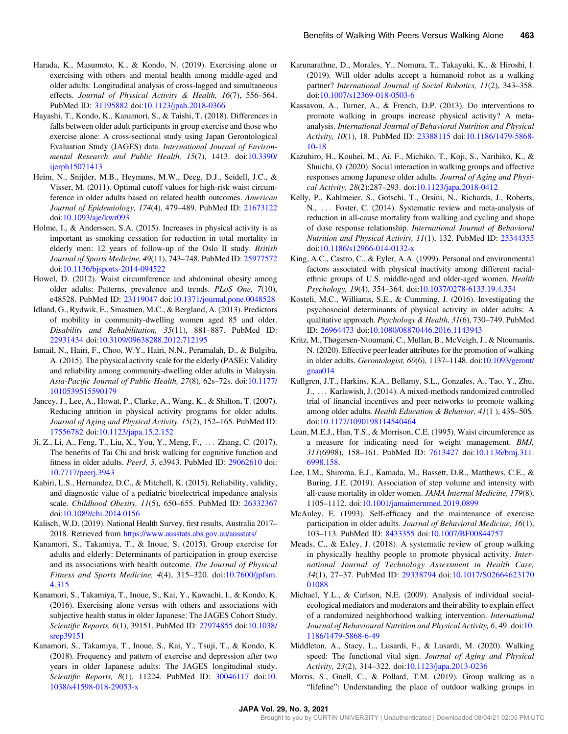- <span id="page-8-0"></span>Harada, K., Masumoto, K., & Kondo, N. (2019). Exercising alone or exercising with others and mental health among middle-aged and older adults: Longitudinal analysis of cross-lagged and simultaneous effects. Journal of Physical Activity & Health, 16(7), 556–564. PubMed ID: [31195882](http://www.ncbi.nlm.nih.gov/pubmed/31195882?dopt=Abstract) doi:[10.1123/jpah.2018-0366](https://doi.org/10.1123/jpah.2018-0366)
- Hayashi, T., Kondo, K., Kanamori, S., & Taishi, T. (2018). Differences in falls between older adult participants in group exercise and those who exercise alone: A cross-sectional study using Japan Gerontological Evaluation Study (JAGES) data. International Journal of Environmental Research and Public Health, 15(7), 1413. doi[:10.3390/](https://doi.org/10.3390/ijerph15071413) [ijerph15071413](https://doi.org/10.3390/ijerph15071413)
- Heim, N., Snijder, M.B., Heymans, M.W., Deeg, D.J., Seidell, J.C., & Visser, M. (2011). Optimal cutoff values for high-risk waist circumference in older adults based on related health outcomes. American Journal of Epidemiology, 174(4), 479–489. PubMed ID: [21673122](http://www.ncbi.nlm.nih.gov/pubmed/21673122?dopt=Abstract) doi:[10.1093/aje/kwr093](https://doi.org/10.1093/aje/kwr093)
- Holme, I., & Anderssen, S.A. (2015). Increases in physical activity is as important as smoking cessation for reduction in total mortality in elderly men: 12 years of follow-up of the Oslo II study. British Journal of Sports Medicine, 49(11), 743–748. PubMed ID: [25977572](http://www.ncbi.nlm.nih.gov/pubmed/25977572?dopt=Abstract) doi:[10.1136/bjsports-2014-094522](https://doi.org/10.1136/bjsports-2014-094522)
- Howel, D. (2012). Waist circumference and abdominal obesity among older adults: Patterns, prevalence and trends. PLoS One, 7(10), e48528. PubMed ID: [23119047](http://www.ncbi.nlm.nih.gov/pubmed/23119047?dopt=Abstract) doi[:10.1371/journal.pone.0048528](https://doi.org/10.1371/journal.pone.0048528)
- Idland, G., Rydwik, E., Smastuen, M.C., & Bergland, A. (2013). Predictors of mobility in community-dwelling women aged 85 and older. Disability and Rehabilitation, 35(11), 881–887. PubMed ID: [22931434](http://www.ncbi.nlm.nih.gov/pubmed/22931434?dopt=Abstract) doi:[10.3109/09638288.2012.712195](https://doi.org/10.3109/09638288.2012.712195)
- Ismail, N., Hairi, F., Choo, W.Y., Hairi, N.N., Peramalah, D., & Bulgiba, A. (2015). The physical activity scale for the elderly (PASE): Validity and reliability among community-dwelling older adults in Malaysia. Asia-Pacific Journal of Public Health, 27(8), 62s–72s. doi[:10.1177/](https://doi.org/10.1177/1010539515590179) [1010539515590179](https://doi.org/10.1177/1010539515590179)
- Jancey, J., Lee, A., Howat, P., Clarke, A., Wang, K., & Shilton, T. (2007). Reducing attrition in physical activity programs for older adults. Journal of Aging and Physical Activity, 15(2), 152–165. PubMed ID: [17556782](http://www.ncbi.nlm.nih.gov/pubmed/17556782?dopt=Abstract) doi:[10.1123/japa.15.2.152](https://doi.org/10.1123/japa.15.2.152)
- Ji, Z., Li, A., Feng, T., Liu, X., You, Y., Meng, F., ::: Zhang, C. (2017). The benefits of Tai Chi and brisk walking for cognitive function and fitness in older adults. PeerJ, 5, e3943. PubMed ID: [29062610](http://www.ncbi.nlm.nih.gov/pubmed/29062610?dopt=Abstract) doi: [10.7717/peerj.3943](https://doi.org/10.7717/peerj.3943)
- Kabiri, L.S., Hernandez, D.C., & Mitchell, K. (2015). Reliability, validity, and diagnostic value of a pediatric bioelectrical impedance analysis scale. Childhood Obesity, 11(5), 650–655. PubMed ID: [26332367](http://www.ncbi.nlm.nih.gov/pubmed/26332367?dopt=Abstract) doi:[10.1089/chi.2014.0156](https://doi.org/10.1089/chi.2014.0156)
- Kalisch, W.D. (2019). National Health Survey, first results, Australia 2017– 2018. Retrieved from <https://www.ausstats.abs.gov.au/ausstats/>
- Kanamori, S., Takamiya, T., & Inoue, S. (2015). Group exercise for adults and elderly: Determinants of participation in group exercise and its associations with health outcome. The Journal of Physical Fitness and Sports Medicine, 4(4), 315–320. doi[:10.7600/jpfsm.](https://doi.org/10.7600/jpfsm.4.315) [4.315](https://doi.org/10.7600/jpfsm.4.315)
- Kanamori, S., Takamiya, T., Inoue, S., Kai, Y., Kawachi, I., & Kondo, K. (2016). Exercising alone versus with others and associations with subjective health status in older Japanese: The JAGES Cohort Study. Scientific Reports, 6(1), 39151. PubMed ID: [27974855](http://www.ncbi.nlm.nih.gov/pubmed/27974855?dopt=Abstract) doi[:10.1038/](https://doi.org/10.1038/srep39151) [srep39151](https://doi.org/10.1038/srep39151)
- Kanamori, S., Takamiya, T., Inoue, S., Kai, Y., Tsuji, T., & Kondo, K. (2018). Frequency and pattern of exercise and depression after two years in older Japanese adults: The JAGES longitudinal study. Scientific Reports, 8(1), 11224. PubMed ID: [30046117](http://www.ncbi.nlm.nih.gov/pubmed/30046117?dopt=Abstract) doi:[10.](https://doi.org/10.1038/s41598-018-29053-x) [1038/s41598-018-29053-x](https://doi.org/10.1038/s41598-018-29053-x)
- Karunarathne, D., Morales, Y., Nomura, T., Takayuki, K., & Hiroshi, I. (2019). Will older adults accept a humanoid robot as a walking partner? International Journal of Social Robotics, 11(2), 343–358. doi:[10.1007/s12369-018-0503-6](https://doi.org/10.1007/s12369-018-0503-6)
- Kassavou, A., Turner, A., & French, D.P. (2013). Do interventions to promote walking in groups increase physical activity? A metaanalysis. International Journal of Behavioral Nutrition and Physical Activity, 10(1), 18. PubMed ID: [23388115](http://www.ncbi.nlm.nih.gov/pubmed/23388115?dopt=Abstract) doi:[10.1186/1479-5868-](https://doi.org/10.1186/1479-5868-10-18) [10-18](https://doi.org/10.1186/1479-5868-10-18)
- Kazuhiro, H., Kouhei, M., Ai, F., Michiko, T., Koji, S., Narihiko, K., & Shuichi, O. (2020). Social interaction in walking groups and affective responses among Japanese older adults. Journal of Aging and Physical Activity, 28(2):287–293. doi[:10.1123/japa.2018-0412](https://doi.org/10.1123/japa.2018-0412)
- Kelly, P., Kahlmeier, S., Gotschi, T., Orsini, N., Richards, J., Roberts, N., ... Foster, C. (2014). Systematic review and meta-analysis of reduction in all-cause mortality from walking and cycling and shape of dose response relationship. International Journal of Behavioral Nutrition and Physical Activity, 11(1), 132. PubMed ID: [25344355](http://www.ncbi.nlm.nih.gov/pubmed/25344355?dopt=Abstract) doi:[10.1186/s12966-014-0132-x](https://doi.org/10.1186/s12966-014-0132-x)
- King, A.C., Castro, C., & Eyler, A.A. (1999). Personal and environmental factors associated with physical inactivity among different racialethnic groups of U.S. middle-aged and older-aged women. Health Psychology, 19(4), 354–364. doi[:10.1037/0278-6133.19.4.354](https://doi.org/10.1037/0278-6133.19.4.354)
- Kosteli, M.C., Williams, S.E., & Cumming, J. (2016). Investigating the psychosocial determinants of physical activity in older adults: A qualitative approach. Psychology & Health, 31(6), 730–749. PubMed ID: [26964473](http://www.ncbi.nlm.nih.gov/pubmed/26964473?dopt=Abstract) doi[:10.1080/08870446.2016.1143943](https://doi.org/10.1080/08870446.2016.1143943)
- Kritz, M., Thøgersen-Ntoumani, C., Mullan, B., McVeigh, J., & Ntoumanis, N. (2020). Effective peer leader attributes for the promotion of walking in older adults. Gerontologist, 60(6), 1137–1148. doi[:10.1093/geront/](https://doi.org/10.1093/geront/gnaa014) [gnaa014](https://doi.org/10.1093/geront/gnaa014)
- Kullgren, J.T., Harkins, K.A., Bellamy, S.L., Gonzales, A., Tao, Y., Zhu, J., ... Karlawish, J. (2014). A mixed-methods randomized controlled trial of financial incentives and peer networks to promote walking among older adults. Health Education & Behavior, 41(1 ), 43S–50S. doi:[10.1177/1090198114540464](https://doi.org/10.1177/1090198114540464)
- Lean, M.E.J., Han, T.S., & Morrison, C.E. (1995). Waist circumference as a measure for indicating need for weight management. BMJ, 311(6998), 158–161. PubMed ID: [7613427](http://www.ncbi.nlm.nih.gov/pubmed/7613427?dopt=Abstract) doi:[10.1136/bmj.311.](https://doi.org/10.1136/bmj.311.6998.158) [6998.158.](https://doi.org/10.1136/bmj.311.6998.158)
- Lee, I.M., Shiroma, E.J., Kamada, M., Bassett, D.R., Matthews, C.E., & Buring, J.E. (2019). Association of step volume and intensity with all-cause mortality in older women. JAMA Internal Medicine, 179(8), 1105–1112. doi:[10.1001/jamainternmed.2019.0899](https://doi.org/10.1001/jamainternmed.2019.0899)
- McAuley, E. (1993). Self-efficacy and the maintenance of exercise participation in older adults. Journal of Behavioral Medicine, 16(1), 103–113. PubMed ID: [8433355](http://www.ncbi.nlm.nih.gov/pubmed/8433355?dopt=Abstract) doi:[10.1007/BF00844757](https://doi.org/10.1007/BF00844757)
- Meads, C., & Exley, J. (2018). A systematic review of group walking in physically healthy people to promote physical activity. International Journal of Technology Assessment in Health Care, 34(1), 27–37. PubMed ID: [29338794](http://www.ncbi.nlm.nih.gov/pubmed/29338794?dopt=Abstract) doi:[10.1017/S02664623170](https://doi.org/10.1017/S0266462317001088) [01088](https://doi.org/10.1017/S0266462317001088)
- Michael, Y.L., & Carlson, N.E. (2009). Analysis of individual socialecological mediators and moderators and their ability to explain effect of a randomized neighborhood walking intervention. International Journal of Behavioural Nutrition and Physical Activity, 6, 49. doi:[10.](https://doi.org/10.1186/1479-5868-6-49) [1186/1479-5868-6-49](https://doi.org/10.1186/1479-5868-6-49)
- Middleton, A., Stacy, L., Lusardi, F., & Lusardi, M. (2020). Walking speed: The functional vital sign. Journal of Aging and Physical Activity, 23(2), 314–322. doi[:10.1123/japa.2013-0236](https://doi.org/10.1123/japa.2013-0236)
- Morris, S., Guell, C., & Pollard, T.M. (2019). Group walking as a "lifeline": Understanding the place of outdoor walking groups in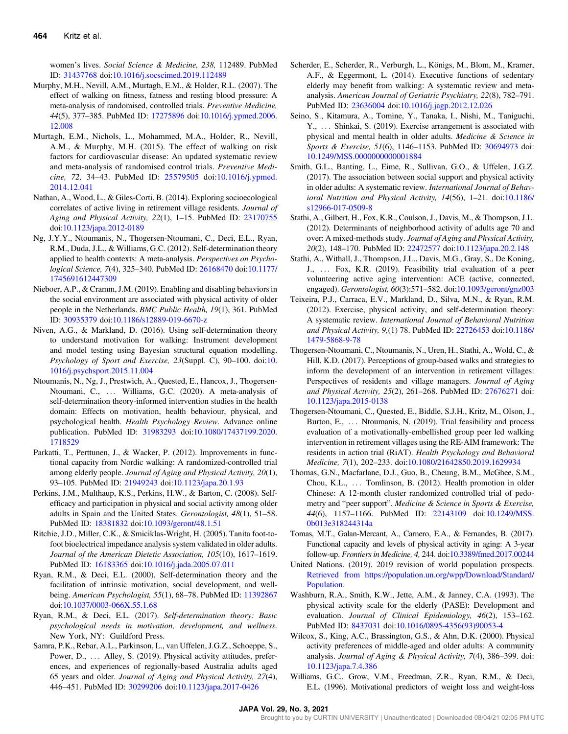<span id="page-9-0"></span>women's lives. Social Science & Medicine, 238, 112489. PubMed ID: [31437768](http://www.ncbi.nlm.nih.gov/pubmed/31437768?dopt=Abstract) doi[:10.1016/j.socscimed.2019.112489](https://doi.org/10.1016/j.socscimed.2019.112489)

- Murphy, M.H., Nevill, A.M., Murtagh, E.M., & Holder, R.L. (2007). The effect of walking on fitness, fatness and resting blood pressure: A meta-analysis of randomised, controlled trials. Preventive Medicine, 44(5), 377–385. PubMed ID: [17275896](http://www.ncbi.nlm.nih.gov/pubmed/17275896?dopt=Abstract) doi:[10.1016/j.ypmed.2006.](https://doi.org/10.1016/j.ypmed.2006.12.008) [12.008](https://doi.org/10.1016/j.ypmed.2006.12.008)
- Murtagh, E.M., Nichols, L., Mohammed, M.A., Holder, R., Nevill, A.M., & Murphy, M.H. (2015). The effect of walking on risk factors for cardiovascular disease: An updated systematic review and meta-analysis of randomised control trials. Preventive Medicine, 72, 34–43. PubMed ID: [25579505](http://www.ncbi.nlm.nih.gov/pubmed/25579505?dopt=Abstract) doi:[10.1016/j.ypmed.](https://doi.org/10.1016/j.ypmed.2014.12.041) [2014.12.041](https://doi.org/10.1016/j.ypmed.2014.12.041)
- Nathan, A., Wood, L., & Giles-Corti, B. (2014). Exploring socioecological correlates of active living in retirement village residents. Journal of Aging and Physical Activity, 22(1), 1–15. PubMed ID: [23170755](http://www.ncbi.nlm.nih.gov/pubmed/23170755?dopt=Abstract) doi:[10.1123/japa.2012-0189](https://doi.org/10.1123/japa.2012-0189)
- Ng, J.Y.Y., Ntoumanis, N., Thogersen-Ntoumani, C., Deci, E.L., Ryan, R.M., Duda, J.L., & Williams, G.C. (2012). Self-determination theory applied to health contexts: A meta-analysis. Perspectives on Psychological Science, 7(4), 325–340. PubMed ID: [26168470](http://www.ncbi.nlm.nih.gov/pubmed/26168470?dopt=Abstract) doi[:10.1177/](https://doi.org/10.1177/1745691612447309) [1745691612447309](https://doi.org/10.1177/1745691612447309)
- Nieboer, A.P., & Cramm, J.M. (2019). Enabling and disabling behaviors in the social environment are associated with physical activity of older people in the Netherlands. BMC Public Health, 19(1), 361. PubMed ID: [30935379](http://www.ncbi.nlm.nih.gov/pubmed/30935379?dopt=Abstract) doi[:10.1186/s12889-019-6670-z](https://doi.org/10.1186/s12889-019-6670-z)
- Niven, A.G., & Markland, D. (2016). Using self-determination theory to understand motivation for walking: Instrument development and model testing using Bayesian structural equation modelling. Psychology of Sport and Exercise, 23(Suppl. C), 90–100. doi:[10.](https://doi.org/10.1016/j.psychsport.2015.11.004) [1016/j.psychsport.2015.11.004](https://doi.org/10.1016/j.psychsport.2015.11.004)
- Ntoumanis, N., Ng, J., Prestwich, A., Quested, E., Hancox, J., Thogersen-Ntoumani, C., ::: Williams, G.C. (2020). A meta-analysis of self-determination theory-informed intervention studies in the health domain: Effects on motivation, health behaviour, physical, and psychological health. Health Psychology Review. Advance online publication. PubMed ID: [31983293](http://www.ncbi.nlm.nih.gov/pubmed/31983293?dopt=Abstract) doi:[10.1080/17437199.2020.](https://doi.org/10.1080/17437199.2020.1718529) [1718529](https://doi.org/10.1080/17437199.2020.1718529)
- Parkatti, T., Perttunen, J., & Wacker, P. (2012). Improvements in functional capacity from Nordic walking: A randomized-controlled trial among elderly people. Journal of Aging and Physical Activity, 20(1), 93–105. PubMed ID: [21949243](http://www.ncbi.nlm.nih.gov/pubmed/21949243?dopt=Abstract) doi[:10.1123/japa.20.1.93](https://doi.org/10.1123/japa.20.1.93)
- Perkins, J.M., Multhaup, K.S., Perkins, H.W., & Barton, C. (2008). Selfefficacy and participation in physical and social activity among older adults in Spain and the United States. Gerontologist, 48(1), 51–58. PubMed ID: [18381832](http://www.ncbi.nlm.nih.gov/pubmed/18381832?dopt=Abstract) doi:[10.1093/geront/48.1.51](https://doi.org/10.1093/geront/48.1.51)
- Ritchie, J.D., Miller, C.K., & Smiciklas-Wright, H. (2005). Tanita foot-tofoot bioelectrical impedance analysis system validated in older adults. Journal of the American Dietetic Association, 105(10), 1617–1619. PubMed ID: [16183365](http://www.ncbi.nlm.nih.gov/pubmed/16183365?dopt=Abstract) doi:[10.1016/j.jada.2005.07.011](https://doi.org/10.1016/j.jada.2005.07.011)
- Ryan, R.M., & Deci, E.L. (2000). Self-determination theory and the facilitation of intrinsic motivation, social development, and well-being. American Psychologist, 55(1), 68-78. PubMed ID: [11392867](http://www.ncbi.nlm.nih.gov/pubmed/11392867?dopt=Abstract) doi:[10.1037/0003-066X.55.1.68](https://doi.org/10.1037/0003-066X.55.1.68)
- Ryan, R.M., & Deci, E.L. (2017). Self-determination theory: Basic psychological needs in motivation, development, and wellness. New York, NY: Guildford Press.
- Samra, P.K., Rebar, A.L., Parkinson, L., van Uffelen, J.G.Z., Schoeppe, S., Power, D., ... Alley, S. (2019). Physical activity attitudes, preferences, and experiences of regionally-based Australia adults aged 65 years and older. Journal of Aging and Physical Activity, 27(4), 446–451. PubMed ID: [30299206](http://www.ncbi.nlm.nih.gov/pubmed/30299206?dopt=Abstract) doi:[10.1123/japa.2017-0426](https://doi.org/10.1123/japa.2017-0426)
- Scherder, E., Scherder, R., Verburgh, L., Königs, M., Blom, M., Kramer, A.F., & Eggermont, L. (2014). Executive functions of sedentary elderly may benefit from walking: A systematic review and metaanalysis. American Journal of Geriatric Psychiatry, 22(8), 782–791. PubMed ID: [23636004](http://www.ncbi.nlm.nih.gov/pubmed/23636004?dopt=Abstract) doi:[10.1016/j.jagp.2012.12.026](https://doi.org/10.1016/j.jagp.2012.12.026)
- Seino, S., Kitamura, A., Tomine, Y., Tanaka, I., Nishi, M., Taniguchi, Y., ... Shinkai, S. (2019). Exercise arrangement is associated with physical and mental health in older adults. Medicine & Science in Sports & Exercise, 51(6), 1146–1153. PubMed ID: [30694973](http://www.ncbi.nlm.nih.gov/pubmed/30694973?dopt=Abstract) doi: [10.1249/MSS.0000000000001884](https://doi.org/10.1249/MSS.0000000000001884)
- Smith, G.L., Banting, L., Eime, R., Sullivan, G.O., & Uffelen, J.G.Z. (2017). The association between social support and physical activity in older adults: A systematic review. International Journal of Behavioral Nutrition and Physical Activity, 14(56), 1–21. doi[:10.1186/](https://doi.org/10.1186/s12966-017-0509-8) [s12966-017-0509-8](https://doi.org/10.1186/s12966-017-0509-8)
- Stathi, A., Gilbert, H., Fox, K.R., Coulson, J., Davis, M., & Thompson, J.L. (2012). Determinants of neighborhood activity of adults age 70 and over: A mixed-methods study. Journal of Aging and Physical Activity, 20(2), 148–170. PubMed ID: [22472577](http://www.ncbi.nlm.nih.gov/pubmed/22472577?dopt=Abstract) doi[:10.1123/japa.20.2.148](https://doi.org/10.1123/japa.20.2.148)
- Stathi, A., Withall, J., Thompson, J.L., Davis, M.G., Gray, S., De Koning, J., ::: Fox, K.R. (2019). Feasibility trial evaluation of a peer volunteering active aging intervention: ACE (active, connected, engaged). Gerontologist, 60(3):571–582. doi:[10.1093/geront/gnz003](https://doi.org/10.1093/geront/gnz003)
- Teixeira, P.J., Carraca, E.V., Markland, D., Silva, M.N., & Ryan, R.M. (2012). Exercise, physical activity, and self-determination theory: A systematic review. International Journal of Behavioral Nutrition and Physical Activity, 9,(1) 78. PubMed ID: [22726453](http://www.ncbi.nlm.nih.gov/pubmed/22726453?dopt=Abstract) doi[:10.1186/](https://doi.org/10.1186/1479-5868-9-78) [1479-5868-9-78](https://doi.org/10.1186/1479-5868-9-78)
- Thogersen-Ntoumani, C., Ntoumanis, N., Uren, H., Stathi, A., Wold, C., & Hill, K.D. (2017). Perceptions of group-based walks and strategies to inform the development of an intervention in retirement villages: Perspectives of residents and village managers. Journal of Aging and Physical Activity, 25(2), 261–268. PubMed ID: [27676271](http://www.ncbi.nlm.nih.gov/pubmed/27676271?dopt=Abstract) doi: [10.1123/japa.2015-0138](https://doi.org/10.1123/japa.2015-0138)
- Thogersen-Ntoumani, C., Quested, E., Biddle, S.J.H., Kritz, M., Olson, J., Burton, E., ... Ntoumanis, N. (2019). Trial feasibility and process evaluation of a motivationally-embellished group peer led walking intervention in retirement villages using the RE-AIM framework: The residents in action trial (RiAT). Health Psychology and Behavioral Medicine, 7(1), 202–233. doi:[10.1080/21642850.2019.1629934](https://doi.org/10.1080/21642850.2019.1629934)
- Thomas, G.N., Macfarlane, D.J., Guo, B., Cheung, B.M., McGhee, S.M., Chou, K.L., ... Tomlinson, B. (2012). Health promotion in older Chinese: A 12-month cluster randomized controlled trial of pedometry and "peer support". Medicine & Science in Sports & Exercise, 44(6), 1157–1166. PubMed ID: [22143109](http://www.ncbi.nlm.nih.gov/pubmed/22143109?dopt=Abstract) doi[:10.1249/MSS.](https://doi.org/10.1249/MSS.0b013e318244314a) [0b013e318244314a](https://doi.org/10.1249/MSS.0b013e318244314a)
- Tomas, M.T., Galan-Mercant, A., Carnero, E.A., & Fernandes, B. (2017). Functional capacity and levels of physical activity in aging: A 3-year follow-up. Frontiers in Medicine, 4, 244. doi[:10.3389/fmed.2017.00244](https://doi.org/10.3389/fmed.2017.00244)
- United Nations. (2019). 2019 revision of world population prospects. [Retrieved from https://population.un.org/wpp/Download/Standard/](Retrieved from https://population.un.org/wpp/Download/Standard/Population) [Population.](Retrieved from https://population.un.org/wpp/Download/Standard/Population)
- Washburn, R.A., Smith, K.W., Jette, A.M., & Janney, C.A. (1993). The physical activity scale for the elderly (PASE): Development and evaluation. Journal of Clinical Epidemiology, 46(2), 153–162. PubMed ID: [8437031](http://www.ncbi.nlm.nih.gov/pubmed/8437031?dopt=Abstract) doi[:10.1016/0895-4356\(93\)90053-4](https://doi.org/10.1016/0895-4356(93)90053-4)
- Wilcox, S., King, A.C., Brassington, G.S., & Ahn, D.K. (2000). Physical activity preferences of middle-aged and older adults: A community analysis. Journal of Aging & Physical Activity, 7(4), 386–399. doi: [10.1123/japa.7.4.386](https://doi.org/10.1123/japa.7.4.386)
- Williams, G.C., Grow, V.M., Freedman, Z.R., Ryan, R.M., & Deci, E.L. (1996). Motivational predictors of weight loss and weight-loss